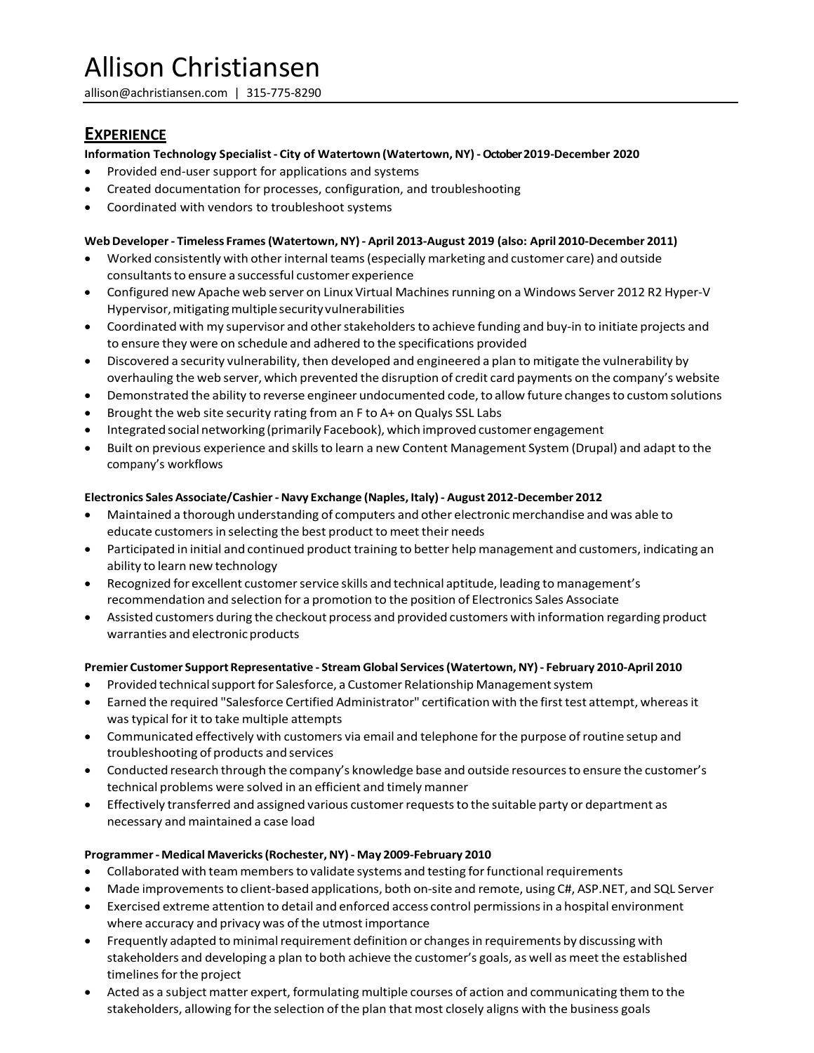# Allison Christiansen

[allison@achristiansen.com](mailto:allison@achristiansen.com) | 315‐775‐8290

## **EXPERIENCE**

#### **Information Technology Specialist‐ City of Watertown (Watertown,NY) ‐October 2019-December 2020**

- Provided end-user support for applications and systems
- Created documentation for processes, configuration, and troubleshooting
- Coordinated with vendors to troubleshoot systems

### **WebDeveloper‐ Timeless Frames(Watertown,NY) ‐ April 2013‐August 2019 (also: April 2010‐December 2011)**

- Worked consistently with otherinternal teams(especially marketing and customer care) and outside consultants to ensure a successful customer experience
- Configured new Apache web server on Linux Virtual Machines running on a Windows Server 2012 R2 Hyper-V Hypervisor, mitigating multiple security vulnerabilities
- Coordinated with my supervisor and other stakeholders to achieve funding and buy-in to initiate projects and to ensure they were on schedule and adhered to the specifications provided
- Discovered a security vulnerability,then developed and engineered a plan to mitigate the vulnerability by overhauling the web server, which prevented the disruption of credit card payments on the company's website
- Demonstrated the ability to reverse engineer undocumented code, to allow future changes to custom solutions
- Brought the web site security rating from an F to A+ on Qualys SSL Labs
- Integrated social networking (primarily Facebook), which improved customer engagement
- Built on previous experience and skills to learn a new Content Management System (Drupal) and adapt to the company's workflows

#### **Electronics Sales Associate/Cashier‐ Navy Exchange (Naples, Italy) ‐ August 2012‐December 2012**

- Maintained a thorough understanding of computers and other electronic merchandise and was able to educate customersin selecting the best product to meet their needs
- Participated in initial and continued product training to better help management and customers, indicating an ability to learn new technology
- Recognized for excellent customer service skills and technical aptitude, leading to management's recommendation and selection for a promotion to the position of Electronics Sales Associate
- Assisted customers during the checkout process and provided customers with information regarding product warranties and electronic products

#### **Premier Customer SupportRepresentative ‐ Stream Global Services(Watertown,NY) ‐ February 2010‐April 2010**

- Provided technical support for Salesforce, a Customer Relationship Management system
- Earned the required "Salesforce Certified Administrator" certification with the firsttest attempt, whereasit was typical for it to take multiple attempts
- Communicated effectively with customers via email and telephone for the purpose of routine setup and troubleshooting of products and services
- Conducted research through the company's knowledge base and outside resources to ensure the customer's technical problems were solved in an efficient and timely manner
- Effectively transferred and assigned various customer requests to the suitable party or department as necessary and maintained a case load

#### **Programmer‐ Medical Mavericks(Rochester,NY) ‐ May 2009‐February 2010**

- Collaborated with team members to validate systems and testing for functional requirements
- Made improvements to client-based applications, both on-site and remote, using C#, ASP.NET, and SQL Server
- Exercised extreme attention to detail and enforced access control permissions in a hospital environment where accuracy and privacy was of the utmost importance
- Frequently adapted to minimal requirement definition or changes in requirements by discussing with stakeholders and developing a plan to both achieve the customer's goals, as well as meet the established timelines for the project
- Acted as a subject matter expert, formulating multiple courses of action and communicating them to the stakeholders, allowing for the selection of the plan that most closely aligns with the business goals